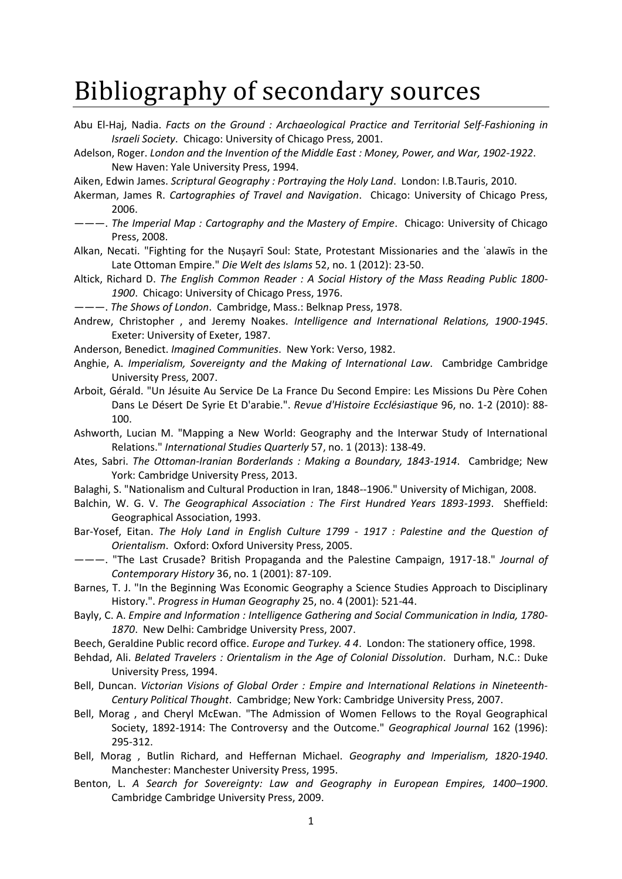## Bibliography of secondary sources

- Abu El-Haj, Nadia. *Facts on the Ground : Archaeological Practice and Territorial Self-Fashioning in Israeli Society*. Chicago: University of Chicago Press, 2001.
- Adelson, Roger. *London and the Invention of the Middle East : Money, Power, and War, 1902-1922*. New Haven: Yale University Press, 1994.
- Aiken, Edwin James. *Scriptural Geography : Portraying the Holy Land*. London: I.B.Tauris, 2010.
- Akerman, James R. *Cartographies of Travel and Navigation*. Chicago: University of Chicago Press, 2006.
- ———. *The Imperial Map : Cartography and the Mastery of Empire*. Chicago: University of Chicago Press, 2008.
- Alkan, Necati. "Fighting for the Nuṣayrī Soul: State, Protestant Missionaries and the ʿalawīs in the Late Ottoman Empire." *Die Welt des Islams* 52, no. 1 (2012): 23-50.
- Altick, Richard D. *The English Common Reader : A Social History of the Mass Reading Public 1800- 1900*. Chicago: University of Chicago Press, 1976.
- ———. *The Shows of London*. Cambridge, Mass.: Belknap Press, 1978.
- Andrew, Christopher , and Jeremy Noakes. *Intelligence and International Relations, 1900-1945*. Exeter: University of Exeter, 1987.
- Anderson, Benedict. *Imagined Communities*. New York: Verso, 1982.
- Anghie, A. *Imperialism, Sovereignty and the Making of International Law*. Cambridge Cambridge University Press, 2007.
- Arboit, Gérald. "Un Jésuite Au Service De La France Du Second Empire: Les Missions Du Père Cohen Dans Le Désert De Syrie Et D'arabie.". *Revue d'Histoire Ecclésiastique* 96, no. 1-2 (2010): 88- 100.
- Ashworth, Lucian M. "Mapping a New World: Geography and the Interwar Study of International Relations." *International Studies Quarterly* 57, no. 1 (2013): 138-49.
- Ates, Sabri. *The Ottoman-Iranian Borderlands : Making a Boundary, 1843-1914*. Cambridge; New York: Cambridge University Press, 2013.
- Balaghi, S. "Nationalism and Cultural Production in Iran, 1848--1906." University of Michigan, 2008.
- Balchin, W. G. V. *The Geographical Association : The First Hundred Years 1893-1993*. Sheffield: Geographical Association, 1993.
- Bar-Yosef, Eitan. *The Holy Land in English Culture 1799 - 1917 : Palestine and the Question of Orientalism*. Oxford: Oxford University Press, 2005.
- ———. "The Last Crusade? British Propaganda and the Palestine Campaign, 1917-18." *Journal of Contemporary History* 36, no. 1 (2001): 87-109.
- Barnes, T. J. "In the Beginning Was Economic Geography a Science Studies Approach to Disciplinary History.". *Progress in Human Geography* 25, no. 4 (2001): 521-44.
- Bayly, C. A. *Empire and Information : Intelligence Gathering and Social Communication in India, 1780- 1870*. New Delhi: Cambridge University Press, 2007.
- Beech, Geraldine Public record office. *Europe and Turkey. 4 4*. London: The stationery office, 1998.
- Behdad, Ali. *Belated Travelers : Orientalism in the Age of Colonial Dissolution*. Durham, N.C.: Duke University Press, 1994.
- Bell, Duncan. *Victorian Visions of Global Order : Empire and International Relations in Nineteenth-Century Political Thought*. Cambridge; New York: Cambridge University Press, 2007.
- Bell, Morag , and Cheryl McEwan. "The Admission of Women Fellows to the Royal Geographical Society, 1892-1914: The Controversy and the Outcome." *Geographical Journal* 162 (1996): 295-312.
- Bell, Morag , Butlin Richard, and Heffernan Michael. *Geography and Imperialism, 1820-1940*. Manchester: Manchester University Press, 1995.
- Benton, L. *A Search for Sovereignty: Law and Geography in European Empires, 1400–1900*. Cambridge Cambridge University Press, 2009.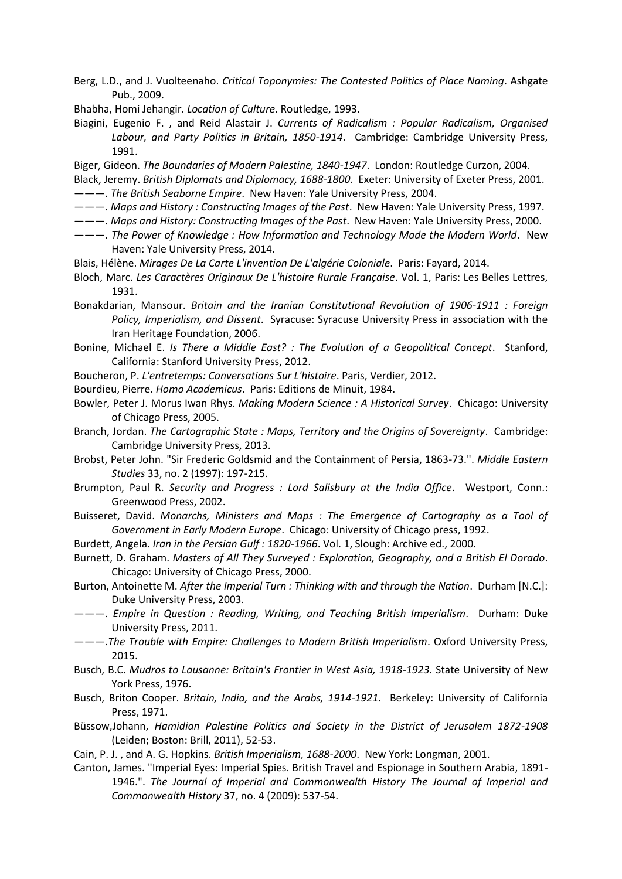- Berg, L.D., and J. Vuolteenaho. *Critical Toponymies: The Contested Politics of Place Naming*. Ashgate Pub., 2009.
- Bhabha, Homi Jehangir. *Location of Culture*. Routledge, 1993.
- Biagini, Eugenio F. , and Reid Alastair J. *Currents of Radicalism : Popular Radicalism, Organised Labour, and Party Politics in Britain, 1850-1914*. Cambridge: Cambridge University Press, 1991.
- Biger, Gideon. *The Boundaries of Modern Palestine, 1840-1947*. London: Routledge Curzon, 2004.
- Black, Jeremy. *British Diplomats and Diplomacy, 1688-1800*. Exeter: University of Exeter Press, 2001. ———. *The British Seaborne Empire*. New Haven: Yale University Press, 2004.
- ———. *Maps and History : Constructing Images of the Past*. New Haven: Yale University Press, 1997.
- ———. *Maps and History: Constructing Images of the Past*. New Haven: Yale University Press, 2000.
- ———. *The Power of Knowledge : How Information and Technology Made the Modern World*. New Haven: Yale University Press, 2014.
- Blais, Hélène. *Mirages De La Carte L'invention De L'algérie Coloniale*. Paris: Fayard, 2014.
- Bloch, Marc. *Les Caractères Originaux De L'histoire Rurale Française*. Vol. 1, Paris: Les Belles Lettres, 1931.
- Bonakdarian, Mansour. *Britain and the Iranian Constitutional Revolution of 1906-1911 : Foreign Policy, Imperialism, and Dissent*. Syracuse: Syracuse University Press in association with the Iran Heritage Foundation, 2006.
- Bonine, Michael E. *Is There a Middle East? : The Evolution of a Geopolitical Concept*. Stanford, California: Stanford University Press, 2012.
- Boucheron, P. *L'entretemps: Conversations Sur L'histoire*. Paris, Verdier, 2012.
- Bourdieu, Pierre. *Homo Academicus*. Paris: Editions de Minuit, 1984.
- Bowler, Peter J. Morus Iwan Rhys. *Making Modern Science : A Historical Survey*. Chicago: University of Chicago Press, 2005.
- Branch, Jordan. *The Cartographic State : Maps, Territory and the Origins of Sovereignty*. Cambridge: Cambridge University Press, 2013.
- Brobst, Peter John. "Sir Frederic Goldsmid and the Containment of Persia, 1863-73.". *Middle Eastern Studies* 33, no. 2 (1997): 197-215.
- Brumpton, Paul R. *Security and Progress : Lord Salisbury at the India Office*. Westport, Conn.: Greenwood Press, 2002.
- Buisseret, David. *Monarchs, Ministers and Maps : The Emergence of Cartography as a Tool of Government in Early Modern Europe*. Chicago: University of Chicago press, 1992.
- Burdett, Angela. *Iran in the Persian Gulf : 1820-1966*. Vol. 1, Slough: Archive ed., 2000.
- Burnett, D. Graham. *Masters of All They Surveyed : Exploration, Geography, and a British El Dorado*. Chicago: University of Chicago Press, 2000.
- Burton, Antoinette M. *After the Imperial Turn : Thinking with and through the Nation*. Durham [N.C.]: Duke University Press, 2003.
- ———. *Empire in Question : Reading, Writing, and Teaching British Imperialism*. Durham: Duke University Press, 2011.
- ———.*The Trouble with Empire: Challenges to Modern British Imperialism*. Oxford University Press, 2015.
- Busch, B.C. *Mudros to Lausanne: Britain's Frontier in West Asia, 1918-1923*. State University of New York Press, 1976.
- Busch, Briton Cooper. *Britain, India, and the Arabs, 1914-1921*. Berkeley: University of California Press, 1971.
- Büssow,Johann, *Hamidian Palestine Politics and Society in the District of Jerusalem 1872-1908* (Leiden; Boston: Brill, 2011), 52-53.
- Cain, P. J. , and A. G. Hopkins. *British Imperialism, 1688-2000*. New York: Longman, 2001.
- Canton, James. "Imperial Eyes: Imperial Spies. British Travel and Espionage in Southern Arabia, 1891- 1946.". *The Journal of Imperial and Commonwealth History The Journal of Imperial and Commonwealth History* 37, no. 4 (2009): 537-54.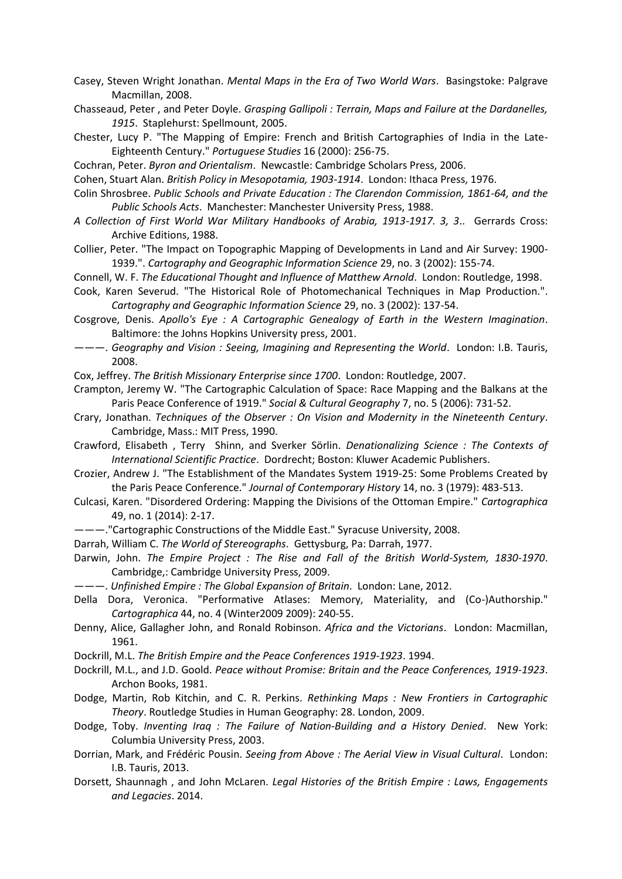- Casey, Steven Wright Jonathan. *Mental Maps in the Era of Two World Wars*. Basingstoke: Palgrave Macmillan, 2008.
- Chasseaud, Peter , and Peter Doyle. *Grasping Gallipoli : Terrain, Maps and Failure at the Dardanelles, 1915*. Staplehurst: Spellmount, 2005.
- Chester, Lucy P. "The Mapping of Empire: French and British Cartographies of India in the Late-Eighteenth Century." *Portuguese Studies* 16 (2000): 256-75.
- Cochran, Peter. *Byron and Orientalism*. Newcastle: Cambridge Scholars Press, 2006.

Cohen, Stuart Alan. *British Policy in Mesopotamia, 1903-1914*. London: Ithaca Press, 1976.

- Colin Shrosbree. *Public Schools and Private Education : The Clarendon Commission, 1861-64, and the Public Schools Acts*. Manchester: Manchester University Press, 1988.
- *A Collection of First World War Military Handbooks of Arabia, 1913-1917. 3, 3*.. Gerrards Cross: Archive Editions, 1988.
- Collier, Peter. "The Impact on Topographic Mapping of Developments in Land and Air Survey: 1900- 1939.". *Cartography and Geographic Information Science* 29, no. 3 (2002): 155-74.
- Connell, W. F. *The Educational Thought and Influence of Matthew Arnold*. London: Routledge, 1998.
- Cook, Karen Severud. "The Historical Role of Photomechanical Techniques in Map Production.". *Cartography and Geographic Information Science* 29, no. 3 (2002): 137-54.
- Cosgrove, Denis. *Apollo's Eye : A Cartographic Genealogy of Earth in the Western Imagination*. Baltimore: the Johns Hopkins University press, 2001.
- ———. *Geography and Vision : Seeing, Imagining and Representing the World*. London: I.B. Tauris, 2008.

Cox, Jeffrey. *The British Missionary Enterprise since 1700*. London: Routledge, 2007.

- Crampton, Jeremy W. "The Cartographic Calculation of Space: Race Mapping and the Balkans at the Paris Peace Conference of 1919." *Social & Cultural Geography* 7, no. 5 (2006): 731-52.
- Crary, Jonathan. *Techniques of the Observer : On Vision and Modernity in the Nineteenth Century*. Cambridge, Mass.: MIT Press, 1990.
- Crawford, Elisabeth , Terry Shinn, and Sverker Sörlin. *Denationalizing Science : The Contexts of International Scientific Practice*. Dordrecht; Boston: Kluwer Academic Publishers.
- Crozier, Andrew J. "The Establishment of the Mandates System 1919-25: Some Problems Created by the Paris Peace Conference." *Journal of Contemporary History* 14, no. 3 (1979): 483-513.
- Culcasi, Karen. "Disordered Ordering: Mapping the Divisions of the Ottoman Empire." *Cartographica*  49, no. 1 (2014): 2-17.
- ———."Cartographic Constructions of the Middle East." Syracuse University, 2008.
- Darrah, William C. *The World of Stereographs*. Gettysburg, Pa: Darrah, 1977.
- Darwin, John. *The Empire Project : The Rise and Fall of the British World-System, 1830-1970*. Cambridge,: Cambridge University Press, 2009.
- ———. *Unfinished Empire : The Global Expansion of Britain*. London: Lane, 2012.
- Della Dora, Veronica. "Performative Atlases: Memory, Materiality, and (Co-)Authorship." *Cartographica* 44, no. 4 (Winter2009 2009): 240-55.
- Denny, Alice, Gallagher John, and Ronald Robinson. *Africa and the Victorians*. London: Macmillan, 1961.
- Dockrill, M.L. *The British Empire and the Peace Conferences 1919-1923*. 1994.
- Dockrill, M.L., and J.D. Goold. *Peace without Promise: Britain and the Peace Conferences, 1919-1923*. Archon Books, 1981.
- Dodge, Martin, Rob Kitchin, and C. R. Perkins. *Rethinking Maps : New Frontiers in Cartographic Theory*. Routledge Studies in Human Geography: 28. London, 2009.
- Dodge, Toby. *Inventing Iraq : The Failure of Nation-Building and a History Denied*. New York: Columbia University Press, 2003.
- Dorrian, Mark, and Frédéric Pousin. *Seeing from Above : The Aerial View in Visual Cultural*. London: I.B. Tauris, 2013.
- Dorsett, Shaunnagh , and John McLaren. *Legal Histories of the British Empire : Laws, Engagements and Legacies*. 2014.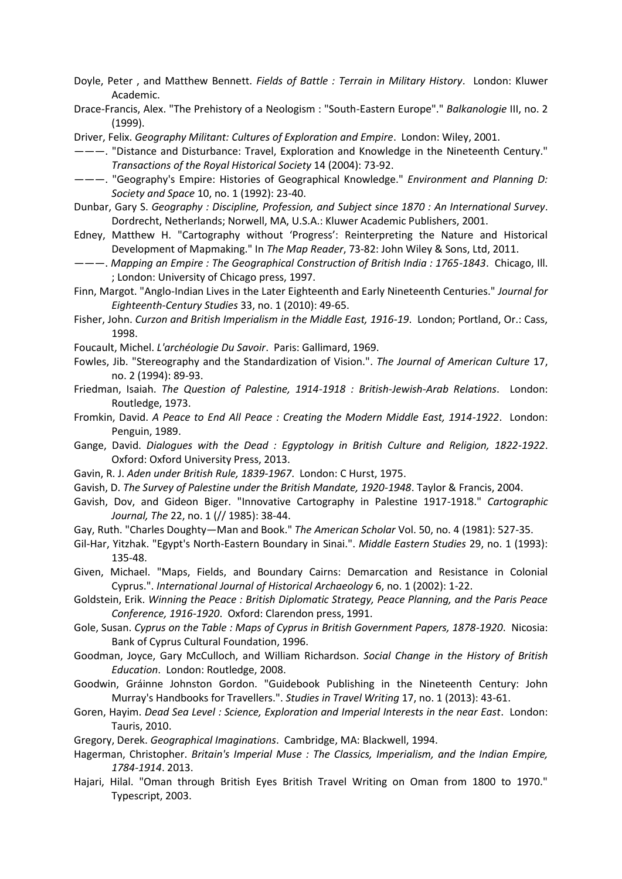- Doyle, Peter , and Matthew Bennett. *Fields of Battle : Terrain in Military History*. London: Kluwer Academic.
- Drace-Francis, Alex. "The Prehistory of a Neologism : "South-Eastern Europe"." *Balkanologie* III, no. 2 (1999).
- Driver, Felix. *Geography Militant: Cultures of Exploration and Empire*. London: Wiley, 2001.

———. "Distance and Disturbance: Travel, Exploration and Knowledge in the Nineteenth Century." *Transactions of the Royal Historical Society* 14 (2004): 73-92.

———. "Geography's Empire: Histories of Geographical Knowledge." *Environment and Planning D: Society and Space* 10, no. 1 (1992): 23-40.

- Dunbar, Gary S. *Geography : Discipline, Profession, and Subject since 1870 : An International Survey*. Dordrecht, Netherlands; Norwell, MA, U.S.A.: Kluwer Academic Publishers, 2001.
- Edney, Matthew H. "Cartography without 'Progress': Reinterpreting the Nature and Historical Development of Mapmaking." In *The Map Reader*, 73-82: John Wiley & Sons, Ltd, 2011.
- ———. *Mapping an Empire : The Geographical Construction of British India : 1765-1843*. Chicago, Ill. ; London: University of Chicago press, 1997.
- Finn, Margot. "Anglo-Indian Lives in the Later Eighteenth and Early Nineteenth Centuries." *Journal for Eighteenth-Century Studies* 33, no. 1 (2010): 49-65.
- Fisher, John. *Curzon and British Imperialism in the Middle East, 1916-19*. London; Portland, Or.: Cass, 1998.
- Foucault, Michel. *L'archéologie Du Savoir*. Paris: Gallimard, 1969.
- Fowles, Jib. "Stereography and the Standardization of Vision.". *The Journal of American Culture* 17, no. 2 (1994): 89-93.
- Friedman, Isaiah. *The Question of Palestine, 1914-1918 : British-Jewish-Arab Relations*. London: Routledge, 1973.
- Fromkin, David. *A Peace to End All Peace : Creating the Modern Middle East, 1914-1922*. London: Penguin, 1989.
- Gange, David. *Dialogues with the Dead : Egyptology in British Culture and Religion, 1822-1922*. Oxford: Oxford University Press, 2013.
- Gavin, R. J. *Aden under British Rule, 1839-1967*. London: C Hurst, 1975.
- Gavish, D. *The Survey of Palestine under the British Mandate, 1920-1948*. Taylor & Francis, 2004.
- Gavish, Dov, and Gideon Biger. "Innovative Cartography in Palestine 1917-1918." *Cartographic Journal, The* 22, no. 1 (// 1985): 38-44.
- Gay, Ruth. "Charles Doughty—Man and Book." *The American Scholar* Vol. 50, no. 4 (1981): 527-35.
- Gil-Har, Yitzhak. "Egypt's North-Eastern Boundary in Sinai.". *Middle Eastern Studies* 29, no. 1 (1993): 135-48.
- Given, Michael. "Maps, Fields, and Boundary Cairns: Demarcation and Resistance in Colonial Cyprus.". *International Journal of Historical Archaeology* 6, no. 1 (2002): 1-22.
- Goldstein, Erik. *Winning the Peace : British Diplomatic Strategy, Peace Planning, and the Paris Peace Conference, 1916-1920*. Oxford: Clarendon press, 1991.
- Gole, Susan. *Cyprus on the Table : Maps of Cyprus in British Government Papers, 1878-1920*. Nicosia: Bank of Cyprus Cultural Foundation, 1996.
- Goodman, Joyce, Gary McCulloch, and William Richardson. *Social Change in the History of British Education*. London: Routledge, 2008.
- Goodwin, Gráinne Johnston Gordon. "Guidebook Publishing in the Nineteenth Century: John Murray's Handbooks for Travellers.". *Studies in Travel Writing* 17, no. 1 (2013): 43-61.
- Goren, Hayim. *Dead Sea Level : Science, Exploration and Imperial Interests in the near East*. London: Tauris, 2010.
- Gregory, Derek. *Geographical Imaginations*. Cambridge, MA: Blackwell, 1994.
- Hagerman, Christopher. *Britain's Imperial Muse : The Classics, Imperialism, and the Indian Empire, 1784-1914*. 2013.
- Hajari, Hilal. "Oman through British Eyes British Travel Writing on Oman from 1800 to 1970." Typescript, 2003.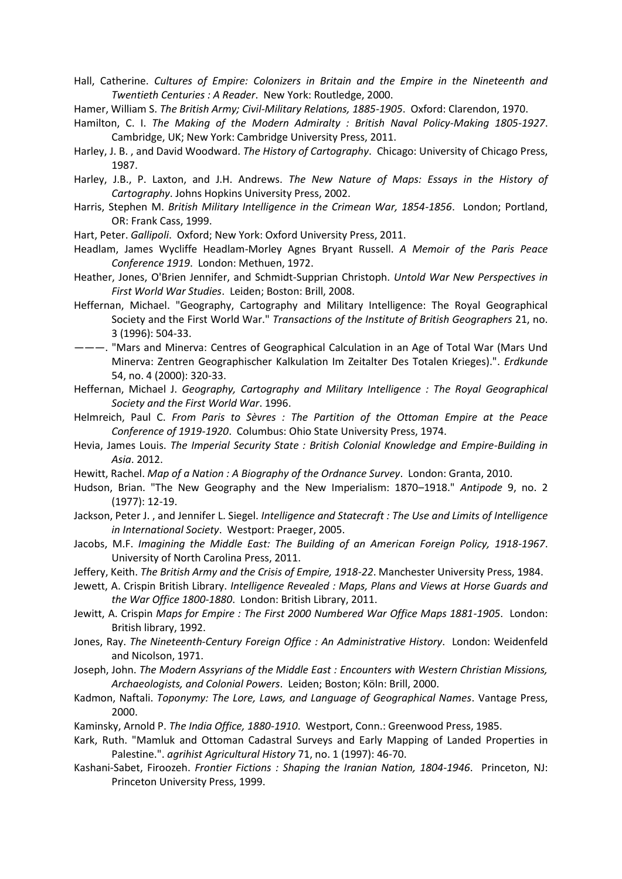Hall, Catherine. *Cultures of Empire: Colonizers in Britain and the Empire in the Nineteenth and Twentieth Centuries : A Reader*. New York: Routledge, 2000.

Hamer, William S. *The British Army; Civil-Military Relations, 1885-1905*. Oxford: Clarendon, 1970.

Hamilton, C. I. *The Making of the Modern Admiralty : British Naval Policy-Making 1805-1927*. Cambridge, UK; New York: Cambridge University Press, 2011.

Harley, J. B. , and David Woodward. *The History of Cartography*. Chicago: University of Chicago Press, 1987.

Harley, J.B., P. Laxton, and J.H. Andrews. *The New Nature of Maps: Essays in the History of Cartography*. Johns Hopkins University Press, 2002.

Harris, Stephen M. *British Military Intelligence in the Crimean War, 1854-1856*. London; Portland, OR: Frank Cass, 1999.

Hart, Peter. *Gallipoli*. Oxford; New York: Oxford University Press, 2011.

Headlam, James Wycliffe Headlam-Morley Agnes Bryant Russell. *A Memoir of the Paris Peace Conference 1919*. London: Methuen, 1972.

Heather, Jones, O'Brien Jennifer, and Schmidt-Supprian Christoph. *Untold War New Perspectives in First World War Studies*. Leiden; Boston: Brill, 2008.

- Heffernan, Michael. "Geography, Cartography and Military Intelligence: The Royal Geographical Society and the First World War." *Transactions of the Institute of British Geographers* 21, no. 3 (1996): 504-33.
- ———. "Mars and Minerva: Centres of Geographical Calculation in an Age of Total War (Mars Und Minerva: Zentren Geographischer Kalkulation Im Zeitalter Des Totalen Krieges).". *Erdkunde*  54, no. 4 (2000): 320-33.
- Heffernan, Michael J. *Geography, Cartography and Military Intelligence : The Royal Geographical Society and the First World War*. 1996.
- Helmreich, Paul C. *From Paris to Sèvres : The Partition of the Ottoman Empire at the Peace Conference of 1919-1920*. Columbus: Ohio State University Press, 1974.
- Hevia, James Louis. *The Imperial Security State : British Colonial Knowledge and Empire-Building in Asia*. 2012.
- Hewitt, Rachel. *Map of a Nation : A Biography of the Ordnance Survey*. London: Granta, 2010.
- Hudson, Brian. "The New Geography and the New Imperialism: 1870–1918." *Antipode* 9, no. 2 (1977): 12-19.
- Jackson, Peter J. , and Jennifer L. Siegel. *Intelligence and Statecraft : The Use and Limits of Intelligence in International Society*. Westport: Praeger, 2005.
- Jacobs, M.F. *Imagining the Middle East: The Building of an American Foreign Policy, 1918-1967*. University of North Carolina Press, 2011.
- Jeffery, Keith. *The British Army and the Crisis of Empire, 1918-22*. Manchester University Press, 1984.
- Jewett, A. Crispin British Library. *Intelligence Revealed : Maps, Plans and Views at Horse Guards and the War Office 1800-1880*. London: British Library, 2011.
- Jewitt, A. Crispin *Maps for Empire : The First 2000 Numbered War Office Maps 1881-1905*. London: British library, 1992.
- Jones, Ray. *The Nineteenth-Century Foreign Office : An Administrative History*. London: Weidenfeld and Nicolson, 1971.
- Joseph, John. *The Modern Assyrians of the Middle East : Encounters with Western Christian Missions, Archaeologists, and Colonial Powers*. Leiden; Boston; Köln: Brill, 2000.
- Kadmon, Naftali. *Toponymy: The Lore, Laws, and Language of Geographical Names*. Vantage Press, 2000.
- Kaminsky, Arnold P. *The India Office, 1880-1910*. Westport, Conn.: Greenwood Press, 1985.
- Kark, Ruth. "Mamluk and Ottoman Cadastral Surveys and Early Mapping of Landed Properties in Palestine.". *agrihist Agricultural History* 71, no. 1 (1997): 46-70.
- Kashani-Sabet, Firoozeh. *Frontier Fictions : Shaping the Iranian Nation, 1804-1946*. Princeton, NJ: Princeton University Press, 1999.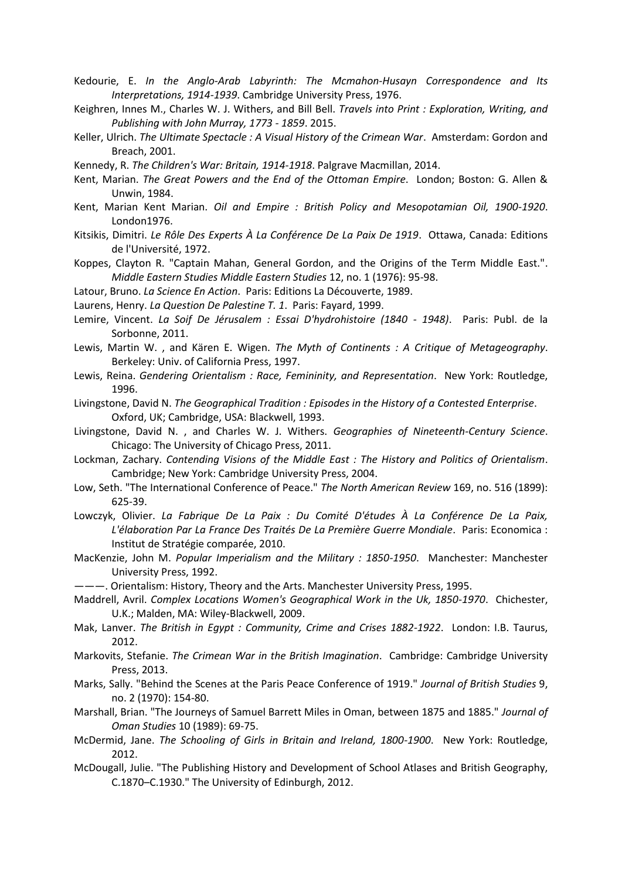- Kedourie, E. *In the Anglo-Arab Labyrinth: The Mcmahon-Husayn Correspondence and Its Interpretations, 1914-1939*. Cambridge University Press, 1976.
- Keighren, Innes M., Charles W. J. Withers, and Bill Bell. *Travels into Print : Exploration, Writing, and Publishing with John Murray, 1773 - 1859*. 2015.
- Keller, Ulrich. *The Ultimate Spectacle : A Visual History of the Crimean War*. Amsterdam: Gordon and Breach, 2001.
- Kennedy, R. *The Children's War: Britain, 1914-1918*. Palgrave Macmillan, 2014.
- Kent, Marian. *The Great Powers and the End of the Ottoman Empire*. London; Boston: G. Allen & Unwin, 1984.
- Kent, Marian Kent Marian. *Oil and Empire : British Policy and Mesopotamian Oil, 1900-1920*. London1976.
- Kitsikis, Dimitri. *Le Rôle Des Experts À La Conférence De La Paix De 1919*. Ottawa, Canada: Editions de l'Université, 1972.
- Koppes, Clayton R. "Captain Mahan, General Gordon, and the Origins of the Term Middle East.". *Middle Eastern Studies Middle Eastern Studies* 12, no. 1 (1976): 95-98.
- Latour, Bruno. *La Science En Action*. Paris: Editions La Découverte, 1989.
- Laurens, Henry. *La Question De Palestine T. 1*. Paris: Fayard, 1999.
- Lemire, Vincent. *La Soif De Jérusalem : Essai D'hydrohistoire (1840 - 1948)*. Paris: Publ. de la Sorbonne, 2011.
- Lewis, Martin W. , and Kären E. Wigen. *The Myth of Continents : A Critique of Metageography*. Berkeley: Univ. of California Press, 1997.
- Lewis, Reina. *Gendering Orientalism : Race, Femininity, and Representation*. New York: Routledge, 1996.
- Livingstone, David N. *The Geographical Tradition : Episodes in the History of a Contested Enterprise*. Oxford, UK; Cambridge, USA: Blackwell, 1993.
- Livingstone, David N. , and Charles W. J. Withers. *Geographies of Nineteenth-Century Science*. Chicago: The University of Chicago Press, 2011.
- Lockman, Zachary. *Contending Visions of the Middle East : The History and Politics of Orientalism*. Cambridge; New York: Cambridge University Press, 2004.
- Low, Seth. "The International Conference of Peace." *The North American Review* 169, no. 516 (1899): 625-39.
- Lowczyk, Olivier. *La Fabrique De La Paix : Du Comité D'études À La Conférence De La Paix, L'élaboration Par La France Des Traités De La Première Guerre Mondiale*. Paris: Economica : Institut de Stratégie comparée, 2010.
- MacKenzie, John M. *Popular Imperialism and the Military : 1850-1950*. Manchester: Manchester University Press, 1992.
- ———. Orientalism: History, Theory and the Arts. Manchester University Press, 1995.
- Maddrell, Avril. *Complex Locations Women's Geographical Work in the Uk, 1850-1970*. Chichester, U.K.; Malden, MA: Wiley-Blackwell, 2009.
- Mak, Lanver. *The British in Egypt : Community, Crime and Crises 1882-1922*. London: I.B. Taurus, 2012.
- Markovits, Stefanie. *The Crimean War in the British Imagination*. Cambridge: Cambridge University Press, 2013.
- Marks, Sally. "Behind the Scenes at the Paris Peace Conference of 1919." *Journal of British Studies* 9, no. 2 (1970): 154-80.
- Marshall, Brian. "The Journeys of Samuel Barrett Miles in Oman, between 1875 and 1885." *Journal of Oman Studies* 10 (1989): 69-75.
- McDermid, Jane. *The Schooling of Girls in Britain and Ireland, 1800-1900*. New York: Routledge, 2012.
- McDougall, Julie. "The Publishing History and Development of School Atlases and British Geography, C.1870–C.1930." The University of Edinburgh, 2012.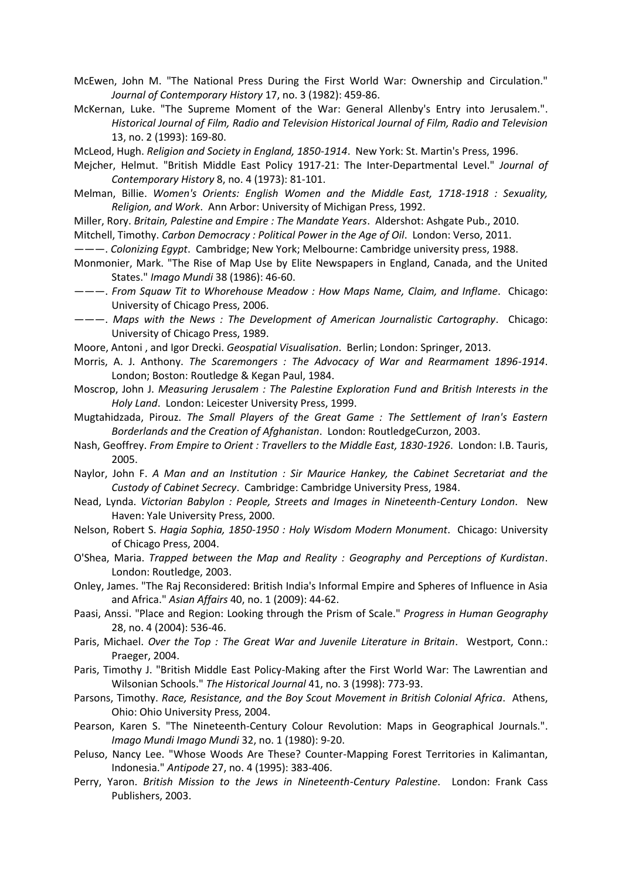McEwen, John M. "The National Press During the First World War: Ownership and Circulation." *Journal of Contemporary History* 17, no. 3 (1982): 459-86.

McKernan, Luke. "The Supreme Moment of the War: General Allenby's Entry into Jerusalem.". *Historical Journal of Film, Radio and Television Historical Journal of Film, Radio and Television*  13, no. 2 (1993): 169-80.

McLeod, Hugh. *Religion and Society in England, 1850-1914*. New York: St. Martin's Press, 1996.

Mejcher, Helmut. "British Middle East Policy 1917-21: The Inter-Departmental Level." *Journal of Contemporary History* 8, no. 4 (1973): 81-101.

Melman, Billie. *Women's Orients: English Women and the Middle East, 1718-1918 : Sexuality, Religion, and Work*. Ann Arbor: University of Michigan Press, 1992.

Miller, Rory. *Britain, Palestine and Empire : The Mandate Years*. Aldershot: Ashgate Pub., 2010.

Mitchell, Timothy. *Carbon Democracy : Political Power in the Age of Oil*. London: Verso, 2011.

———. *Colonizing Egypt*. Cambridge; New York; Melbourne: Cambridge university press, 1988.

- Monmonier, Mark. "The Rise of Map Use by Elite Newspapers in England, Canada, and the United States." *Imago Mundi* 38 (1986): 46-60.
- ———. *From Squaw Tit to Whorehouse Meadow : How Maps Name, Claim, and Inflame*. Chicago: University of Chicago Press, 2006.
- ———. *Maps with the News : The Development of American Journalistic Cartography*. Chicago: University of Chicago Press, 1989.
- Moore, Antoni , and Igor Drecki. *Geospatial Visualisation*. Berlin; London: Springer, 2013.
- Morris, A. J. Anthony. *The Scaremongers : The Advocacy of War and Rearmament 1896-1914*. London; Boston: Routledge & Kegan Paul, 1984.
- Moscrop, John J. *Measuring Jerusalem : The Palestine Exploration Fund and British Interests in the Holy Land*. London: Leicester University Press, 1999.
- Mugtahidzada, Pirouz. *The Small Players of the Great Game : The Settlement of Iran's Eastern Borderlands and the Creation of Afghanistan*. London: RoutledgeCurzon, 2003.
- Nash, Geoffrey. *From Empire to Orient : Travellers to the Middle East, 1830-1926*. London: I.B. Tauris, 2005.
- Naylor, John F. *A Man and an Institution : Sir Maurice Hankey, the Cabinet Secretariat and the Custody of Cabinet Secrecy*. Cambridge: Cambridge University Press, 1984.
- Nead, Lynda. *Victorian Babylon : People, Streets and Images in Nineteenth-Century London*. New Haven: Yale University Press, 2000.
- Nelson, Robert S. *Hagia Sophia, 1850-1950 : Holy Wisdom Modern Monument*. Chicago: University of Chicago Press, 2004.
- O'Shea, Maria. *Trapped between the Map and Reality : Geography and Perceptions of Kurdistan*. London: Routledge, 2003.
- Onley, James. "The Raj Reconsidered: British India's Informal Empire and Spheres of Influence in Asia and Africa." *Asian Affairs* 40, no. 1 (2009): 44-62.
- Paasi, Anssi. "Place and Region: Looking through the Prism of Scale." *Progress in Human Geography*  28, no. 4 (2004): 536-46.
- Paris, Michael. *Over the Top : The Great War and Juvenile Literature in Britain*. Westport, Conn.: Praeger, 2004.
- Paris, Timothy J. "British Middle East Policy-Making after the First World War: The Lawrentian and Wilsonian Schools." *The Historical Journal* 41, no. 3 (1998): 773-93.
- Parsons, Timothy. *Race, Resistance, and the Boy Scout Movement in British Colonial Africa*. Athens, Ohio: Ohio University Press, 2004.
- Pearson, Karen S. "The Nineteenth-Century Colour Revolution: Maps in Geographical Journals.". *Imago Mundi Imago Mundi* 32, no. 1 (1980): 9-20.
- Peluso, Nancy Lee. "Whose Woods Are These? Counter-Mapping Forest Territories in Kalimantan, Indonesia." *Antipode* 27, no. 4 (1995): 383-406.
- Perry, Yaron. *British Mission to the Jews in Nineteenth-Century Palestine*. London: Frank Cass Publishers, 2003.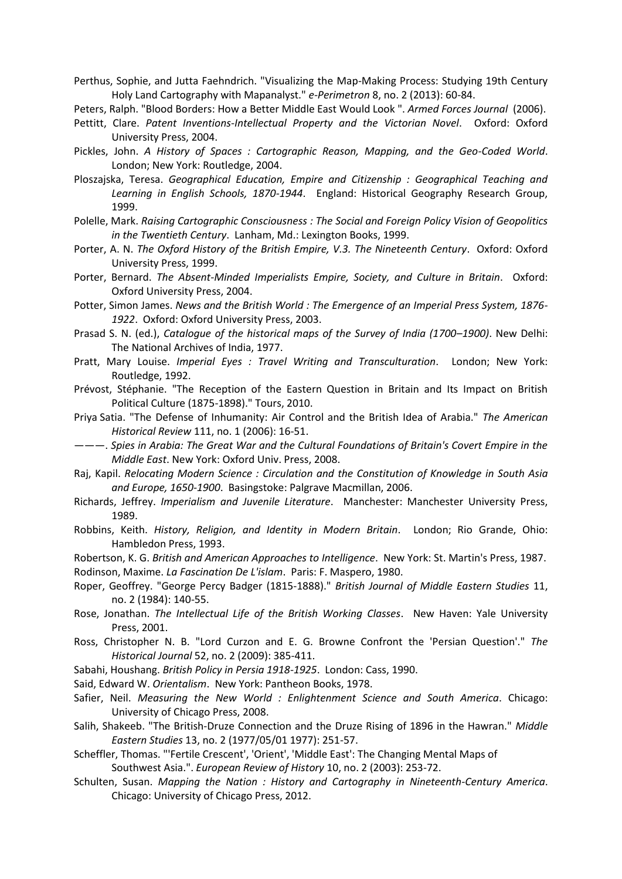Perthus, Sophie, and Jutta Faehndrich. "Visualizing the Map-Making Process: Studying 19th Century Holy Land Cartography with Mapanalyst." *e-Perimetron* 8, no. 2 (2013): 60-84.

Peters, Ralph. "Blood Borders: How a Better Middle East Would Look ". *Armed Forces Journal* (2006).

- Pettitt, Clare. *Patent Inventions-Intellectual Property and the Victorian Novel*. Oxford: Oxford University Press, 2004.
- Pickles, John. *A History of Spaces : Cartographic Reason, Mapping, and the Geo-Coded World*. London; New York: Routledge, 2004.
- Ploszajska, Teresa. *Geographical Education, Empire and Citizenship : Geographical Teaching and Learning in English Schools, 1870-1944*. England: Historical Geography Research Group, 1999.
- Polelle, Mark. *Raising Cartographic Consciousness : The Social and Foreign Policy Vision of Geopolitics in the Twentieth Century*. Lanham, Md.: Lexington Books, 1999.
- Porter, A. N. *The Oxford History of the British Empire, V.3. The Nineteenth Century*. Oxford: Oxford University Press, 1999.
- Porter, Bernard. *The Absent-Minded Imperialists Empire, Society, and Culture in Britain*. Oxford: Oxford University Press, 2004.
- Potter, Simon James. *News and the British World : The Emergence of an Imperial Press System, 1876- 1922*. Oxford: Oxford University Press, 2003.
- Prasad S. N. (ed.), *Catalogue of the historical maps of the Survey of India (1700–1900)*. New Delhi: The National Archives of India, 1977.
- Pratt, Mary Louise. *Imperial Eyes : Travel Writing and Transculturation*. London; New York: Routledge, 1992.
- Prévost, Stéphanie. "The Reception of the Eastern Question in Britain and Its Impact on British Political Culture (1875-1898)." Tours, 2010.
- Priya Satia. "The Defense of Inhumanity: Air Control and the British Idea of Arabia." *The American Historical Review* 111, no. 1 (2006): 16-51.
- ———. *Spies in Arabia: The Great War and the Cultural Foundations of Britain's Covert Empire in the Middle East*. New York: Oxford Univ. Press, 2008.
- Raj, Kapil. *Relocating Modern Science : Circulation and the Constitution of Knowledge in South Asia and Europe, 1650-1900*. Basingstoke: Palgrave Macmillan, 2006.
- Richards, Jeffrey. *Imperialism and Juvenile Literature*. Manchester: Manchester University Press, 1989.
- Robbins, Keith. *History, Religion, and Identity in Modern Britain*. London; Rio Grande, Ohio: Hambledon Press, 1993.
- Robertson, K. G. *British and American Approaches to Intelligence*. New York: St. Martin's Press, 1987. Rodinson, Maxime. *La Fascination De L'islam*. Paris: F. Maspero, 1980.
- Roper, Geoffrey. "George Percy Badger (1815-1888)." *British Journal of Middle Eastern Studies* 11, no. 2 (1984): 140-55.
- Rose, Jonathan. *The Intellectual Life of the British Working Classes*. New Haven: Yale University Press, 2001.
- Ross, Christopher N. B. "Lord Curzon and E. G. Browne Confront the 'Persian Question'." *The Historical Journal* 52, no. 2 (2009): 385-411.
- Sabahi, Houshang. *British Policy in Persia 1918-1925*. London: Cass, 1990.
- Said, Edward W. *Orientalism*. New York: Pantheon Books, 1978.
- Safier, Neil. *Measuring the New World : Enlightenment Science and South America*. Chicago: University of Chicago Press, 2008.
- Salih, Shakeeb. "The British‐Druze Connection and the Druze Rising of 1896 in the Hawran." *Middle Eastern Studies* 13, no. 2 (1977/05/01 1977): 251-57.
- Scheffler, Thomas. "'Fertile Crescent', 'Orient', 'Middle East': The Changing Mental Maps of Southwest Asia.". *European Review of History* 10, no. 2 (2003): 253-72.
- Schulten, Susan. *Mapping the Nation : History and Cartography in Nineteenth-Century America*. Chicago: University of Chicago Press, 2012.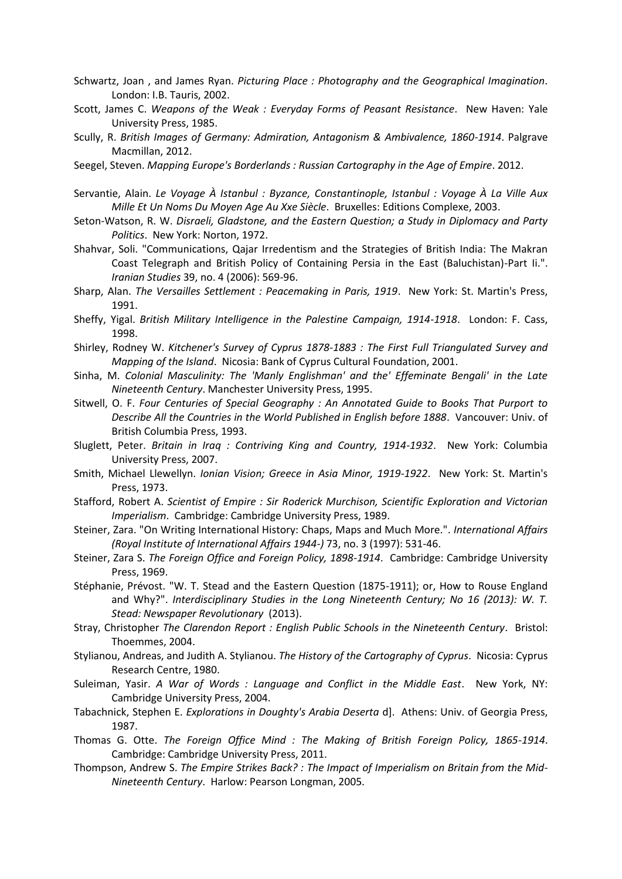- Schwartz, Joan , and James Ryan. *Picturing Place : Photography and the Geographical Imagination*. London: I.B. Tauris, 2002.
- Scott, James C. *Weapons of the Weak : Everyday Forms of Peasant Resistance*. New Haven: Yale University Press, 1985.
- Scully, R. *British Images of Germany: Admiration, Antagonism & Ambivalence, 1860-1914*. Palgrave Macmillan, 2012.
- Seegel, Steven. *Mapping Europe's Borderlands : Russian Cartography in the Age of Empire*. 2012.
- Servantie, Alain. *Le Voyage À Istanbul : Byzance, Constantinople, Istanbul : Voyage À La Ville Aux Mille Et Un Noms Du Moyen Age Au Xxe Siècle*. Bruxelles: Editions Complexe, 2003.
- Seton-Watson, R. W. *Disraeli, Gladstone, and the Eastern Question; a Study in Diplomacy and Party Politics*. New York: Norton, 1972.
- Shahvar, Soli. "Communications, Qajar Irredentism and the Strategies of British India: The Makran Coast Telegraph and British Policy of Containing Persia in the East (Baluchistan)-Part Ii.". *Iranian Studies* 39, no. 4 (2006): 569-96.
- Sharp, Alan. *The Versailles Settlement : Peacemaking in Paris, 1919*. New York: St. Martin's Press, 1991.
- Sheffy, Yigal. *British Military Intelligence in the Palestine Campaign, 1914-1918*. London: F. Cass, 1998.
- Shirley, Rodney W. *Kitchener's Survey of Cyprus 1878-1883 : The First Full Triangulated Survey and Mapping of the Island*. Nicosia: Bank of Cyprus Cultural Foundation, 2001.
- Sinha, M. *Colonial Masculinity: The 'Manly Englishman' and the' Effeminate Bengali' in the Late Nineteenth Century*. Manchester University Press, 1995.
- Sitwell, O. F. *Four Centuries of Special Geography : An Annotated Guide to Books That Purport to Describe All the Countries in the World Published in English before 1888*. Vancouver: Univ. of British Columbia Press, 1993.
- Sluglett, Peter. *Britain in Iraq : Contriving King and Country, 1914-1932*. New York: Columbia University Press, 2007.
- Smith, Michael Llewellyn. *Ionian Vision; Greece in Asia Minor, 1919-1922*. New York: St. Martin's Press, 1973.
- Stafford, Robert A. *Scientist of Empire : Sir Roderick Murchison, Scientific Exploration and Victorian Imperialism*. Cambridge: Cambridge University Press, 1989.
- Steiner, Zara. "On Writing International History: Chaps, Maps and Much More.". *International Affairs (Royal Institute of International Affairs 1944-)* 73, no. 3 (1997): 531-46.
- Steiner, Zara S. *The Foreign Office and Foreign Policy, 1898-1914*. Cambridge: Cambridge University Press, 1969.
- Stéphanie, Prévost. "W. T. Stead and the Eastern Question (1875-1911); or, How to Rouse England and Why?". *Interdisciplinary Studies in the Long Nineteenth Century; No 16 (2013): W. T. Stead: Newspaper Revolutionary* (2013).
- Stray, Christopher *The Clarendon Report : English Public Schools in the Nineteenth Century*. Bristol: Thoemmes, 2004.
- Stylianou, Andreas, and Judith A. Stylianou. *The History of the Cartography of Cyprus*. Nicosia: Cyprus Research Centre, 1980.
- Suleiman, Yasir. *A War of Words : Language and Conflict in the Middle East*. New York, NY: Cambridge University Press, 2004.
- Tabachnick, Stephen E. *Explorations in Doughty's Arabia Deserta* d]. Athens: Univ. of Georgia Press, 1987.
- Thomas G. Otte. *The Foreign Office Mind : The Making of British Foreign Policy, 1865-1914*. Cambridge: Cambridge University Press, 2011.
- Thompson, Andrew S. *The Empire Strikes Back? : The Impact of Imperialism on Britain from the Mid-Nineteenth Century*. Harlow: Pearson Longman, 2005.